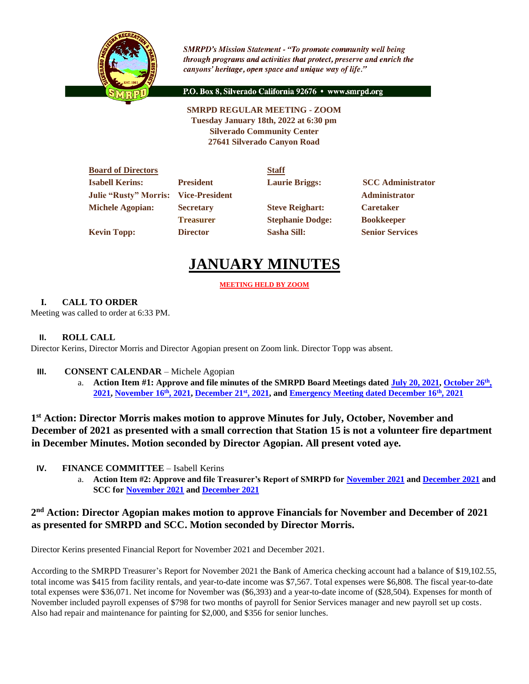

**SMRPD's Mission Statement - "To promote community well being** through programs and activities that protect, preserve and enrich the canyons' heritage, open space and unique way of life."

P.O. Box 8, Silverado California 92676 · www.smrpd.org

**SMRPD REGULAR MEETING - ZOOM Tuesday January 18th, 2022 at 6:30 pm Silverado Community Center 27641 Silverado Canyon Road**

| <b>Board of Directors</b>                   |                  | <b>Staff</b>            |                          |
|---------------------------------------------|------------------|-------------------------|--------------------------|
| <b>Isabell Kerins:</b>                      | <b>President</b> | <b>Laurie Briggs:</b>   | <b>SCC</b> Administrator |
| <b>Julie "Rusty" Morris: Vice-President</b> |                  |                         | <b>Administrator</b>     |
| <b>Michele Agopian:</b>                     | <b>Secretary</b> | <b>Steve Reighart:</b>  | <b>Caretaker</b>         |
|                                             | <b>Treasurer</b> | <b>Stephanie Dodge:</b> | <b>Bookkeeper</b>        |
| <b>Kevin Topp:</b>                          | <b>Director</b>  | <b>Sasha Sill:</b>      | <b>Senior Services</b>   |

# **JANUARY MINUTES**

# **MEETING HELD BY ZOOM**

# **I. CALL TO ORDER**

Meeting was called to order at 6:33 PM.

# **II. ROLL CALL**

Director Kerins, Director Morris and Director Agopian present on Zoom link. Director Topp was absent.

# **III. CONSENT CALENDAR** – Michele Agopian

a. **Action Item #1: Approve and file minutes of the SMRPD Board Meetings dated [July 20, 2021,](https://1drv.ms/b/s!An_OKisCbP0FlyC6RshlhDSayd3i?e=ASbvuW) [October 26](https://1drv.ms/b/s!An_OKisCbP0Flwc5NIQhW15C_Dmm?e=mhzUlP)th , [2021,](https://1drv.ms/b/s!An_OKisCbP0Flwc5NIQhW15C_Dmm?e=mhzUlP) [November 16](https://1drv.ms/b/s!An_OKisCbP0FlwYeMB0yo_ObTw0G?e=lCAbWe)th, 2021[, December 21](https://1drv.ms/b/s!An_OKisCbP0Fln9IcYnJ9e7uOGyf?e=qPZfrS)st, 2021, and [Emergency Meeting dated December 16](https://1drv.ms/b/s!An_OKisCbP0FlxGOYCFhidDNIIcV?e=cVQcxL)th, 2021**

**1 st Action: Director Morris makes motion to approve Minutes for July, October, November and December of 2021 as presented with a small correction that Station 15 is not a volunteer fire department in December Minutes. Motion seconded by Director Agopian. All present voted aye.**

- **IV. FINANCE COMMITTEE** Isabell Kerins
	- a. **Action Item #2: Approve and file Treasurer's Report of SMRPD for [November 2021](https://1drv.ms/b/s!An_OKisCbP0FljPbxjRSwcVMh0Nn?e=IMK16e) an[d December 2021](https://1drv.ms/b/s!An_OKisCbP0FlxNtaVb2apQwCzw4?e=DZb5gN) and SCC for [November 2021](https://1drv.ms/b/s!An_OKisCbP0FljTAl5jKhkzljO8O?e=d1ZpDV) and [December 2021](https://1drv.ms/b/s!An_OKisCbP0FlntTm3LTpGkrZLFI?e=tWNBQN)**

# **2 nd Action: Director Agopian makes motion to approve Financials for November and December of 2021 as presented for SMRPD and SCC. Motion seconded by Director Morris.**

Director Kerins presented Financial Report for November 2021 and December 2021.

According to the SMRPD Treasurer's Report for November 2021 the Bank of America checking account had a balance of \$19,102.55, total income was \$415 from facility rentals, and year-to-date income was \$7,567. Total expenses were \$6,808. The fiscal year-to-date total expenses were \$36,071. Net income for November was (\$6,393) and a year-to-date income of (\$28,504). Expenses for month of November included payroll expenses of \$798 for two months of payroll for Senior Services manager and new payroll set up costs. Also had repair and maintenance for painting for \$2,000, and \$356 for senior lunches.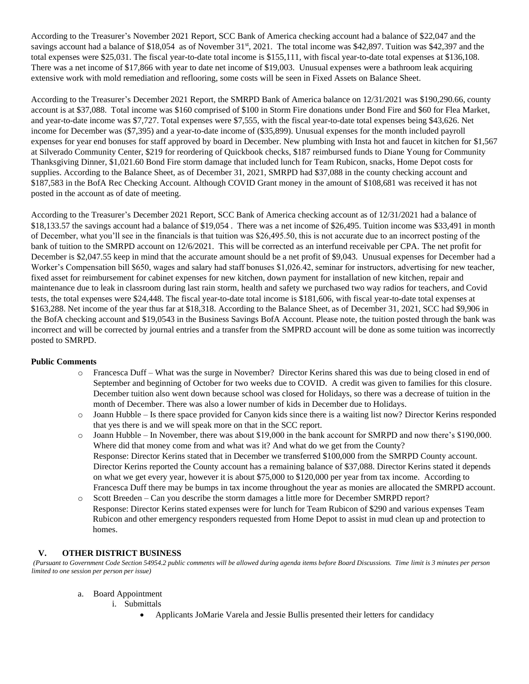According to the Treasurer's November 2021 Report, SCC Bank of America checking account had a balance of \$22,047 and the savings account had a balance of \$18,054 as of November 31<sup>st</sup>, 2021. The total income was \$42,897. Tuition was \$42,397 and the total expenses were \$25,031. The fiscal year-to-date total income is \$155,111, with fiscal year-to-date total expenses at \$136,108. There was a net income of \$17,866 with year to date net income of \$19,003. Unusual expenses were a bathroom leak acquiring extensive work with mold remediation and reflooring, some costs will be seen in Fixed Assets on Balance Sheet.

According to the Treasurer's December 2021 Report, the SMRPD Bank of America balance on 12/31/2021 was \$190,290.66, county account is at \$37,088. Total income was \$160 comprised of \$100 in Storm Fire donations under Bond Fire and \$60 for Flea Market, and year-to-date income was \$7,727. Total expenses were \$7,555, with the fiscal year-to-date total expenses being \$43,626. Net income for December was (\$7,395) and a year-to-date income of (\$35,899). Unusual expenses for the month included payroll expenses for year end bonuses for staff approved by board in December. New plumbing with Insta hot and faucet in kitchen for \$1,567 at Silverado Community Center, \$219 for reordering of Quickbook checks, \$187 reimbursed funds to Diane Young for Community Thanksgiving Dinner, \$1,021.60 Bond Fire storm damage that included lunch for Team Rubicon, snacks, Home Depot costs for supplies. According to the Balance Sheet, as of December 31, 2021, SMRPD had \$37,088 in the county checking account and \$187,583 in the BofA Rec Checking Account. Although COVID Grant money in the amount of \$108,681 was received it has not posted in the account as of date of meeting.

According to the Treasurer's December 2021 Report, SCC Bank of America checking account as of 12/31/2021 had a balance of \$18,133.57 the savings account had a balance of \$19,054 . There was a net income of \$26,495. Tuition income was \$33,491 in month of December, what you'll see in the financials is that tuition was \$26,495.50, this is not accurate due to an incorrect posting of the bank of tuition to the SMRPD account on 12/6/2021. This will be corrected as an interfund receivable per CPA. The net profit for December is \$2,047.55 keep in mind that the accurate amount should be a net profit of \$9,043. Unusual expenses for December had a Worker's Compensation bill \$650, wages and salary had staff bonuses \$1,026.42, seminar for instructors, advertising for new teacher, fixed asset for reimbursement for cabinet expenses for new kitchen, down payment for installation of new kitchen, repair and maintenance due to leak in classroom during last rain storm, health and safety we purchased two way radios for teachers, and Covid tests, the total expenses were \$24,448. The fiscal year-to-date total income is \$181,606, with fiscal year-to-date total expenses at \$163,288. Net income of the year thus far at \$18,318. According to the Balance Sheet, as of December 31, 2021, SCC had \$9,906 in the BofA checking account and \$19,0543 in the Business Savings BofA Account. Please note, the tuition posted through the bank was incorrect and will be corrected by journal entries and a transfer from the SMPRD account will be done as some tuition was incorrectly posted to SMRPD.

#### **Public Comments**

- o Francesca Duff What was the surge in November? Director Kerins shared this was due to being closed in end of September and beginning of October for two weeks due to COVID. A credit was given to families for this closure. December tuition also went down because school was closed for Holidays, so there was a decrease of tuition in the month of December. There was also a lower number of kids in December due to Holidays.
- o Joann Hubble Is there space provided for Canyon kids since there is a waiting list now? Director Kerins responded that yes there is and we will speak more on that in the SCC report.
- o Joann Hubble In November, there was about \$19,000 in the bank account for SMRPD and now there's \$190,000. Where did that money come from and what was it? And what do we get from the County? Response: Director Kerins stated that in December we transferred \$100,000 from the SMRPD County account. Director Kerins reported the County account has a remaining balance of \$37,088. Director Kerins stated it depends on what we get every year, however it is about \$75,000 to \$120,000 per year from tax income. According to Francesca Duff there may be bumps in tax income throughout the year as monies are allocated the SMRPD account.
- o Scott Breeden Can you describe the storm damages a little more for December SMRPD report? Response: Director Kerins stated expenses were for lunch for Team Rubicon of \$290 and various expenses Team Rubicon and other emergency responders requested from Home Depot to assist in mud clean up and protection to homes.

# **V. OTHER DISTRICT BUSINESS**

*(Pursuant to Government Code Section 54954.2 public comments will be allowed during agenda items before Board Discussions. Time limit is 3 minutes per person limited to one session per person per issue)*

- a. Board Appointment
	- i. Submittals
		- Applicants JoMarie Varela and Jessie Bullis presented their letters for candidacy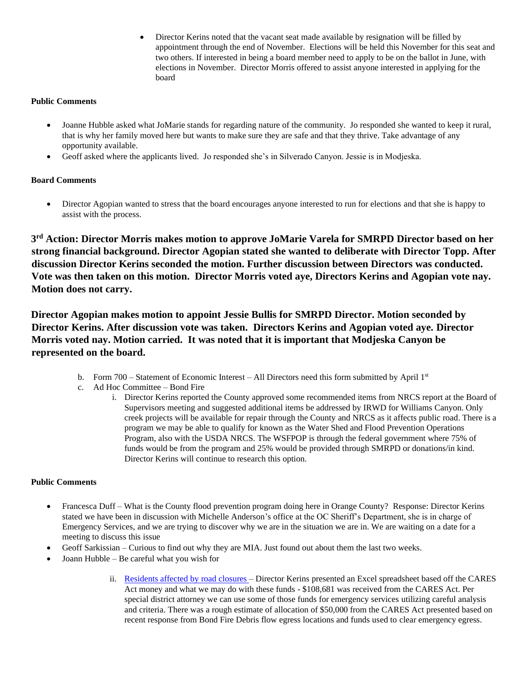• Director Kerins noted that the vacant seat made available by resignation will be filled by appointment through the end of November. Elections will be held this November for this seat and two others. If interested in being a board member need to apply to be on the ballot in June, with elections in November. Director Morris offered to assist anyone interested in applying for the board

# **Public Comments**

- Joanne Hubble asked what JoMarie stands for regarding nature of the community. Jo responded she wanted to keep it rural, that is why her family moved here but wants to make sure they are safe and that they thrive. Take advantage of any opportunity available.
- Geoff asked where the applicants lived. Jo responded she's in Silverado Canyon. Jessie is in Modjeska.

### **Board Comments**

• Director Agopian wanted to stress that the board encourages anyone interested to run for elections and that she is happy to assist with the process.

**3 rd Action: Director Morris makes motion to approve JoMarie Varela for SMRPD Director based on her strong financial background. Director Agopian stated she wanted to deliberate with Director Topp. After discussion Director Kerins seconded the motion. Further discussion between Directors was conducted. Vote was then taken on this motion. Director Morris voted aye, Directors Kerins and Agopian vote nay. Motion does not carry.**

**Director Agopian makes motion to appoint Jessie Bullis for SMRPD Director. Motion seconded by Director Kerins. After discussion vote was taken. Directors Kerins and Agopian voted aye. Director Morris voted nay. Motion carried. It was noted that it is important that Modjeska Canyon be represented on the board.**

- b. Form 700 Statement of Economic Interest All Directors need this form submitted by April  $1<sup>st</sup>$
- c. Ad Hoc Committee Bond Fire
	- i. Director Kerins reported the County approved some recommended items from NRCS report at the Board of Supervisors meeting and suggested additional items be addressed by IRWD for Williams Canyon. Only creek projects will be available for repair through the County and NRCS as it affects public road. There is a program we may be able to qualify for known as the Water Shed and Flood Prevention Operations Program, also with the USDA NRCS. The WSFPOP is through the federal government where 75% of funds would be from the program and 25% would be provided through SMRPD or donations/in kind. Director Kerins will continue to research this option.

#### **Public Comments**

- Francesca Duff What is the County flood prevention program doing here in Orange County? Response: Director Kerins stated we have been in discussion with Michelle Anderson's office at the OC Sheriff's Department, she is in charge of Emergency Services, and we are trying to discover why we are in the situation we are in. We are waiting on a date for a meeting to discuss this issue
- Geoff Sarkissian Curious to find out why they are MIA. Just found out about them the last two weeks.
- Joann Hubble Be careful what you wish for
	- ii. [Residents affected by](https://1drv.ms/x/s!An_OKisCbP0FlwpZjPeZna-YL3QR?e=ogLXy6) road closures Director Kerins presented an Excel spreadsheet based off the CARES Act money and what we may do with these funds - \$108,681 was received from the CARES Act. Per special district attorney we can use some of those funds for emergency services utilizing careful analysis and criteria. There was a rough estimate of allocation of \$50,000 from the CARES Act presented based on recent response from Bond Fire Debris flow egress locations and funds used to clear emergency egress.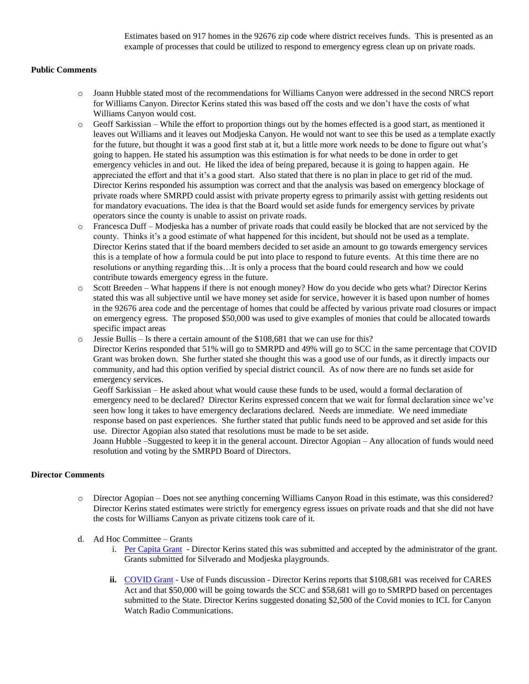Estimates based on 917 homes in the 92676 zip code where district receives funds. This is presented as an example of processes that could be utilized to respond to emergency egress clean up on private roads.

#### **Public Comments**

- o Joann Hubble stated most of the recommendations for Williams Canyon were addressed in the second NRCS report for Williams Canyon. Director Kerins stated this was based off the costs and we don't have the costs of what Williams Canyon would cost.
- o Geoff Sarkissian While the effort to proportion things out by the homes effected is a good start, as mentioned it leaves out Williams and it leaves out Modjeska Canyon. He would not want to see this be used as a template exactly for the future, but thought it was a good first stab at it, but a little more work needs to be done to figure out what's going to happen. He stated his assumption was this estimation is for what needs to be done in order to get emergency vehicles in and out. He liked the idea of being prepared, because it is going to happen again. He appreciated the effort and that it's a good start. Also stated that there is no plan in place to get rid of the mud. Director Kerins responded his assumption was correct and that the analysis was based on emergency blockage of private roads where SMRPD could assist with private property egress to primarily assist with getting residents out for mandatory evacuations. The idea is that the Board would set aside funds for emergency services by private operators since the county is unable to assist on private roads.
- o Francesca Duff Modjeska has a number of private roads that could easily be blocked that are not serviced by the county. Thinks it's a good estimate of what happened for this incident, but should not be used as a template. Director Kerins stated that if the board members decided to set aside an amount to go towards emergency services this is a template of how a formula could be put into place to respond to future events. At this time there are no resolutions or anything regarding this…It is only a process that the board could research and how we could contribute towards emergency egress in the future.
- o Scott Breeden What happens if there is not enough money? How do you decide who gets what? Director Kerins stated this was all subjective until we have money set aside for service, however it is based upon number of homes in the 92676 area code and the percentage of homes that could be affected by various private road closures or impact on emergency egress. The proposed \$50,000 was used to give examples of monies that could be allocated towards specific impact areas
- o Jessie Bullis Is there a certain amount of the \$108,681 that we can use for this?

Director Kerins responded that 51% will go to SMRPD and 49% will go to SCC in the same percentage that COVID Grant was broken down. She further stated she thought this was a good use of our funds, as it directly impacts our community, and had this option verified by special district council. As of now there are no funds set aside for emergency services.

Geoff Sarkissian – He asked about what would cause these funds to be used, would a formal declaration of emergency need to be declared? Director Kerins expressed concern that we wait for formal declaration since we've seen how long it takes to have emergency declarations declared. Needs are immediate. We need immediate response based on past experiences. She further stated that public funds need to be approved and set aside for this use. Director Agopian also stated that resolutions must be made to be set aside.

Joann Hubble –Suggested to keep it in the general account. Director Agopian – Any allocation of funds would need resolution and voting by the SMRPD Board of Directors.

#### **Director Comments**

- o Director Agopian Does not see anything concerning Williams Canyon Road in this estimate, was this considered? Director Kerins stated estimates were strictly for emergency egress issues on private roads and that she did not have the costs for Williams Canyon as private citizens took care of it.
- d. Ad Hoc Committee Grants
	- i. [Per Capita Grant](https://www.parks.ca.gov/?page_id=30095) Director Kerins stated this was submitted and accepted by the administrator of the grant. Grants submitted for Silverado and Modjeska playgrounds.
	- ii. [COVID Grant](https://www.csda.net/advocate/take-action/covid) Use of Funds discussion Director Kerins reports that \$108,681 was received for CARES Act and that \$50,000 will be going towards the SCC and \$58,681 will go to SMRPD based on percentages submitted to the State. Director Kerins suggested donating \$2,500 of the Covid monies to ICL for Canyon Watch Radio Communications.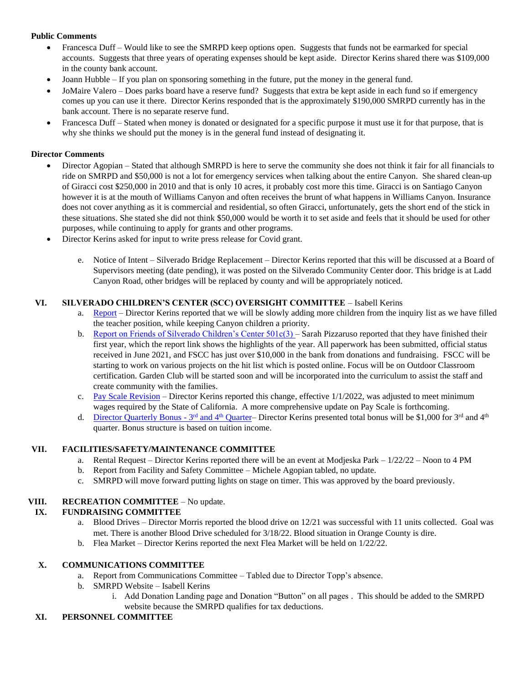# **Public Comments**

- Francesca Duff Would like to see the SMRPD keep options open. Suggests that funds not be earmarked for special accounts. Suggests that three years of operating expenses should be kept aside. Director Kerins shared there was \$109,000 in the county bank account.
- Joann Hubble If you plan on sponsoring something in the future, put the money in the general fund.
- JoMaire Valero Does parks board have a reserve fund? Suggests that extra be kept aside in each fund so if emergency comes up you can use it there. Director Kerins responded that is the approximately \$190,000 SMRPD currently has in the bank account. There is no separate reserve fund.
- Francesca Duff Stated when money is donated or designated for a specific purpose it must use it for that purpose, that is why she thinks we should put the money is in the general fund instead of designating it.

#### **Director Comments**

- Director Agopian Stated that although SMRPD is here to serve the community she does not think it fair for all financials to ride on SMRPD and \$50,000 is not a lot for emergency services when talking about the entire Canyon. She shared clean-up of Giracci cost \$250,000 in 2010 and that is only 10 acres, it probably cost more this time. Giracci is on Santiago Canyon however it is at the mouth of Williams Canyon and often receives the brunt of what happens in Williams Canyon. Insurance does not cover anything as it is commercial and residential, so often Giracci, unfortunately, gets the short end of the stick in these situations. She stated she did not think \$50,000 would be worth it to set aside and feels that it should be used for other purposes, while continuing to apply for grants and other programs.
- Director Kerins asked for input to write press release for Covid grant.
	- e. Notice of Intent Silverado Bridge Replacement Director Kerins reported that this will be discussed at a Board of Supervisors meeting (date pending), it was posted on the Silverado Community Center door. This bridge is at Ladd Canyon Road, other bridges will be replaced by county and will be appropriately noticed.

### **VI. SILVERADO CHILDREN'S CENTER (SCC) OVERSIGHT COMMITTEE** – Isabell Kerins

- a. [Report](https://1drv.ms/w/s!An_OKisCbP0Flxi4h7DZtN5bZTfx?e=2ROkK5) Director Kerins reported that we will be slowly adding more children from the inquiry list as we have filled the teacher position, while keeping Canyon children a priority.
- b. Report on Friends of Silverado Children's Center  $501c(3)$  Sarah Pizzaruso reported that they have finished their first year, which the report link shows the highlights of the year. All paperwork has been submitted, official status received in June 2021, and FSCC has just over \$10,000 in the bank from donations and fundraising. FSCC will be starting to work on various projects on the hit list which is posted online. Focus will be on Outdoor Classroom certification. Garden Club will be started soon and will be incorporated into the curriculum to assist the staff and create community with the families.
- c. [Pay Scale Revision](https://1drv.ms/w/s!An_OKisCbP0FlxcG5Xm4ozAv9J8G?e=jqR1p0) Director Kerins reported this change, effective 1/1/2022, was adjusted to meet minimum wages required by the State of California. A more comprehensive update on Pay Scale is forthcoming.
- d. [Director Quarterly Bonus -](https://1drv.ms/x/s!An_OKisCbP0Flw-ROpoZlFRU3JdT?e=Fz2UVx)  $3^{rd}$  and  $4^{th}$  Quarter– Director Kerins presented total bonus will be \$1,000 for  $3^{rd}$  and  $4^{th}$ quarter. Bonus structure is based on tuition income.

#### **VII. FACILITIES/SAFETY/MAINTENANCE COMMITTEE**

- a. Rental Request Director Kerins reported there will be an event at Modjeska Park 1/22/22 Noon to 4 PM
- b. Report from Facility and Safety Committee Michele Agopian tabled, no update.
- c. SMRPD will move forward putting lights on stage on timer. This was approved by the board previously.

#### **VIII. RECREATION COMMITTEE** – No update.

# **IX. FUNDRAISING COMMITTEE**

- a. Blood Drives Director Morris reported the blood drive on 12/21 was successful with 11 units collected. Goal was met. There is another Blood Drive scheduled for 3/18/22. Blood situation in Orange County is dire.
- b. Flea Market Director Kerins reported the next Flea Market will be held on 1/22/22.

#### **X. COMMUNICATIONS COMMITTEE**

- a. Report from Communications Committee Tabled due to Director Topp's absence.
- b. SMRPD Website Isabell Kerins
	- i. Add Donation Landing page and Donation "Button" on all pages . This should be added to the SMRPD website because the SMRPD qualifies for tax deductions.

#### **XI. PERSONNEL COMMITTEE**